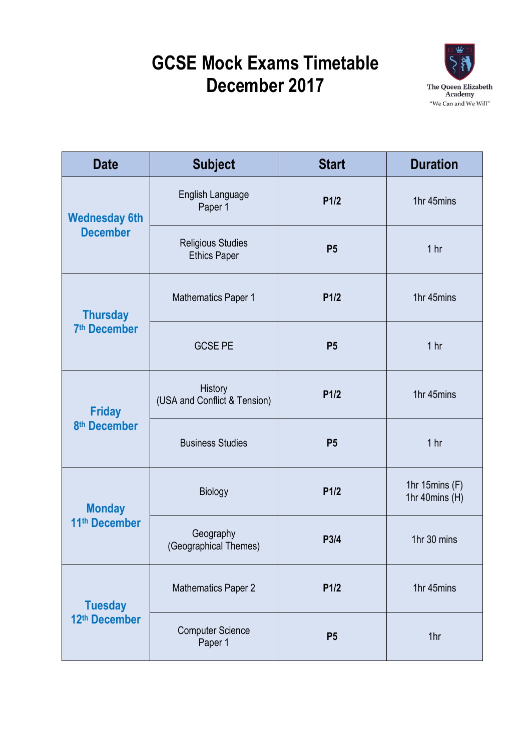## **GCSE Mock Exams Timetable December 2017**



| <b>Date</b>                                 | <b>Subject</b>                                  | <b>Start</b>   | <b>Duration</b>                    |
|---------------------------------------------|-------------------------------------------------|----------------|------------------------------------|
| <b>Wednesday 6th</b><br><b>December</b>     | <b>English Language</b><br>Paper 1              | P1/2           | 1hr 45mins                         |
|                                             | <b>Religious Studies</b><br><b>Ethics Paper</b> | P <sub>5</sub> | 1 hr                               |
| <b>Thursday</b><br>7 <sup>th</sup> December | <b>Mathematics Paper 1</b>                      | P1/2           | 1hr 45mins                         |
|                                             | <b>GCSE PE</b>                                  | P <sub>5</sub> | 1 hr                               |
| <b>Friday</b><br>8 <sup>th</sup> December   | History<br>(USA and Conflict & Tension)         | P1/2           | 1hr 45mins                         |
|                                             | <b>Business Studies</b>                         | P <sub>5</sub> | 1 <sub>hr</sub>                    |
| <b>Monday</b><br>11 <sup>th</sup> December  | <b>Biology</b>                                  | P1/2           | 1hr 15 $mins(F)$<br>1hr 40mins (H) |
|                                             | Geography<br>(Geographical Themes)              | P3/4           | 1hr 30 mins                        |
| <b>Tuesday</b><br>12th December             | <b>Mathematics Paper 2</b>                      | P1/2           | 1hr 45mins                         |
|                                             | <b>Computer Science</b><br>Paper 1              | P <sub>5</sub> | 1hr                                |